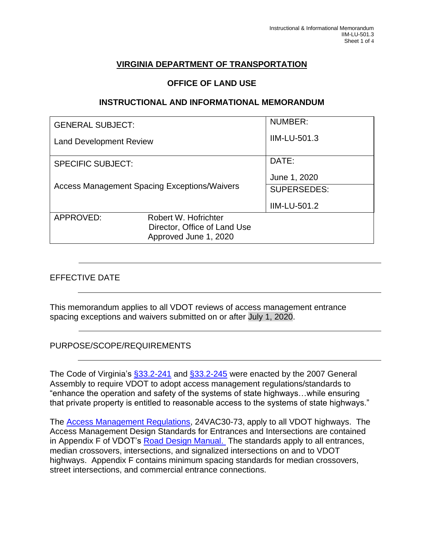# **VIRGINIA DEPARTMENT OF TRANSPORTATION**

### **OFFICE OF LAND USE**

#### **INSTRUCTIONAL AND INFORMATIONAL MEMORANDUM**

| <b>GENERAL SUBJECT:</b>                             |                                                       | NUMBER:            |
|-----------------------------------------------------|-------------------------------------------------------|--------------------|
| <b>Land Development Review</b>                      |                                                       | IIM-LU-501.3       |
| <b>SPECIFIC SUBJECT:</b>                            |                                                       | DATE:              |
| <b>Access Management Spacing Exceptions/Waivers</b> |                                                       | June 1, 2020       |
|                                                     |                                                       | <b>SUPERSEDES:</b> |
|                                                     |                                                       | IIM-LU-501.2       |
| APPROVED:                                           | Robert W. Hofrichter                                  |                    |
|                                                     | Director, Office of Land Use<br>Approved June 1, 2020 |                    |
|                                                     |                                                       |                    |

### EFFECTIVE DATE

This memorandum applies to all VDOT reviews of access management entrance spacing exceptions and waivers submitted on or after July 1, 2020.

### PURPOSE/SCOPE/REQUIREMENTS

The Code of Virginia's [§33.2-241](https://law.lis.virginia.gov/vacode/title33.2/chapter2/section33.2-241/) and [§33.2-245](https://law.lis.virginia.gov/vacode/title33.2/chapter2/section33.2-245/) were enacted by the 2007 General Assembly to require VDOT to adopt access management regulations/standards to "enhance the operation and safety of the systems of state highways…while ensuring that private property is entitled to reasonable access to the systems of state highways."

The [Access Management Regulations,](http://www.virginiadot.org/info/access_management_regulations_and_standards.asp) 24VAC30-73, apply to all VDOT highways. The Access Management Design Standards for Entrances and Intersections are contained in Appendix F of VDOT's [Road Design Manual.](https://www.virginiadot.org/business/locdes/rdmanual-index.asp) The standards apply to all entrances, median crossovers, intersections, and signalized intersections on and to VDOT highways. Appendix F contains minimum spacing standards for median crossovers, street intersections, and commercial entrance connections.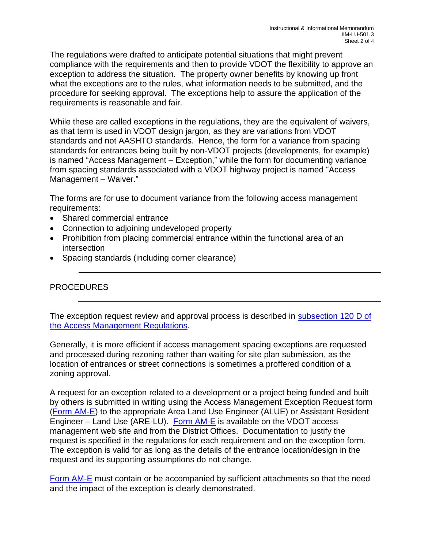The regulations were drafted to anticipate potential situations that might prevent compliance with the requirements and then to provide VDOT the flexibility to approve an exception to address the situation. The property owner benefits by knowing up front what the exceptions are to the rules, what information needs to be submitted, and the procedure for seeking approval. The exceptions help to assure the application of the requirements is reasonable and fair.

While these are called exceptions in the regulations, they are the equivalent of waivers, as that term is used in VDOT design jargon, as they are variations from VDOT standards and not AASHTO standards. Hence, the form for a variance from spacing standards for entrances being built by non-VDOT projects (developments, for example) is named "Access Management – Exception," while the form for documenting variance from spacing standards associated with a VDOT highway project is named "Access Management – Waiver."

The forms are for use to document variance from the following access management requirements:

- Shared commercial entrance
- Connection to adjoining undeveloped property
- Prohibition from placing commercial entrance within the functional area of an intersection
- Spacing standards (including corner clearance)

## PROCEDURES

The exception request review and approval process is described in subsection 120 D of [the Access Management Regulations.](https://law.lis.virginia.gov/admincode/title24/agency30/chapter73/section120/)

Generally, it is more efficient if access management spacing exceptions are requested and processed during rezoning rather than waiting for site plan submission, as the location of entrances or street connections is sometimes a proffered condition of a zoning approval.

A request for an exception related to a development or a project being funded and built by others is submitted in writing using the Access Management Exception Request form [\(Form AM-E\)](http://www.virginiadot.org/projects/resources/Access_Management_Exception_Request_Form_AM-E.pdf) to the appropriate Area Land Use Engineer (ALUE) or Assistant Resident Engineer – Land Use (ARE-LU). [Form AM-E](http://www.virginiadot.org/projects/resources/Access_Management_Exception_Request_Form_AM-E.pdf) is available on the VDOT access management web site and from the District Offices. Documentation to justify the request is specified in the regulations for each requirement and on the exception form. The exception is valid for as long as the details of the entrance location/design in the request and its supporting assumptions do not change.

[Form AM-E](http://www.virginiadot.org/projects/resources/Access_Management_Exception_Request_Form_AM-E.pdf) must contain or be accompanied by sufficient attachments so that the need and the impact of the exception is clearly demonstrated.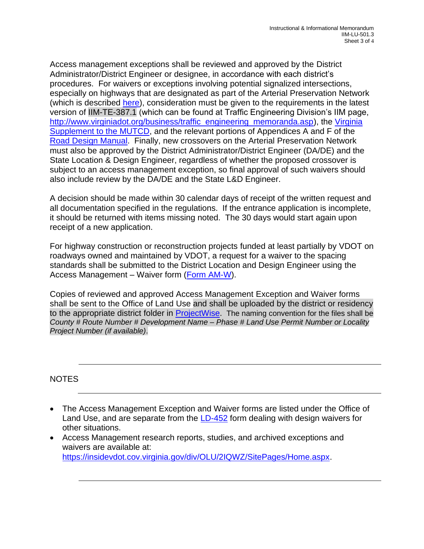Access management exceptions shall be reviewed and approved by the District Administrator/District Engineer or designee, in accordance with each district's procedures. For waivers or exceptions involving potential signalized intersections, especially on highways that are designated as part of the Arterial Preservation Network (which is described [here\)](https://www.virginiadot.org/programs/vdot_arterial_preservation_program.asp), consideration must be given to the requirements in the latest version of IIM-TE-387.1 (which can be found at Traffic Engineering Division's IIM page, [http://www.virginiadot.org/business/traffic\\_engineering\\_memoranda.asp\)](http://www.virginiadot.org/business/traffic_engineering_memoranda.asp), the Virginia [Supplement to the MUTCD,](https://www.virginiadot.org/business/virginia_mutcd_supplement.asp) and the relevant portions of Appendices A and F of the [Road Design Manual.](https://www.virginiadot.org/business/locdes/rdmanual-index.asp) Finally, new crossovers on the Arterial Preservation Network must also be approved by the District Administrator/District Engineer (DA/DE) and the State Location & Design Engineer, regardless of whether the proposed crossover is subject to an access management exception, so final approval of such waivers should also include review by the DA/DE and the State L&D Engineer.

A decision should be made within 30 calendar days of receipt of the written request and all documentation specified in the regulations. If the entrance application is incomplete, it should be returned with items missing noted. The 30 days would start again upon receipt of a new application.

For highway construction or reconstruction projects funded at least partially by VDOT on roadways owned and maintained by VDOT, a request for a waiver to the spacing standards shall be submitted to the District Location and Design Engineer using the Access Management – Waiver form [\(Form AM-W\)](https://insidevdot.cov.virginia.gov/div/OLU/2IQWZ/AccManRegStan/Access%20Management%20Exception%20Forms/AM-W%20VDOT%20Project%20Access%20M.%20Waiver%20Form%203.2019.PDF).

Copies of reviewed and approved Access Management Exception and Waiver forms shall be sent to the Office of Land Use and shall be uploaded by the district or residency to the appropriate district folder in [ProjectWise.](https://projectwise.vdot.virginia.gov/login.aspx) The naming convention for the files shall be *County # Route Number # Development Name – Phase # Land Use Permit Number or Locality Project Number (if available)*.

NOTES

- The Access Management Exception and Waiver forms are listed under the Office of Land Use, and are separate from the [LD-452](http://vdotforms.vdot.virginia.gov/SearchResults.aspx?filename=LD_452_2_24_17.pdf) form dealing with design waivers for other situations.
- Access Management research reports, studies, and archived exceptions and waivers are available at: [https://insidevdot.cov.virginia.gov/div/OLU/2IQWZ/SitePages/Home.aspx.](https://insidevdot.cov.virginia.gov/div/OLU/2IQWZ/SitePages/Home.aspx)